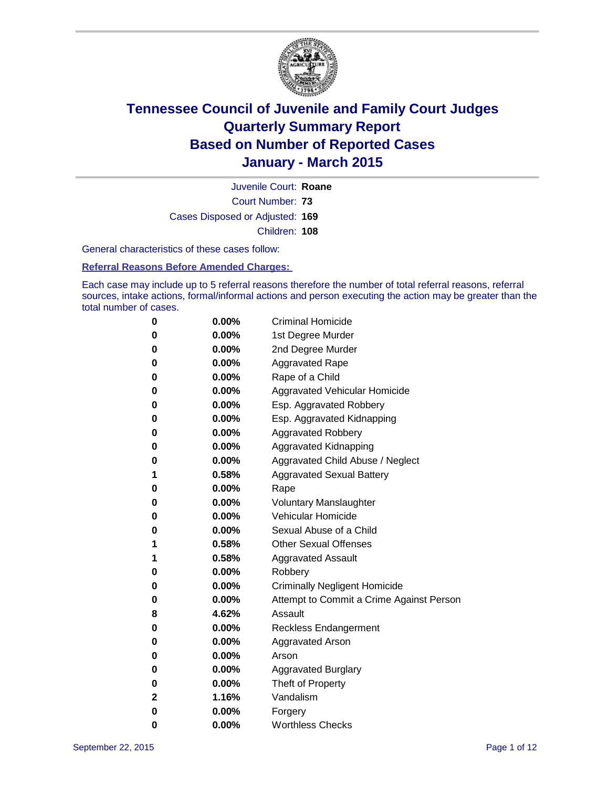

Court Number: **73** Juvenile Court: **Roane** Cases Disposed or Adjusted: **169** Children: **108**

General characteristics of these cases follow:

**Referral Reasons Before Amended Charges:** 

Each case may include up to 5 referral reasons therefore the number of total referral reasons, referral sources, intake actions, formal/informal actions and person executing the action may be greater than the total number of cases.

| 0           | $0.00\%$ | <b>Criminal Homicide</b>                 |
|-------------|----------|------------------------------------------|
| 0           | $0.00\%$ | 1st Degree Murder                        |
| $\bf{0}$    | $0.00\%$ | 2nd Degree Murder                        |
| 0           | $0.00\%$ | <b>Aggravated Rape</b>                   |
| 0           | $0.00\%$ | Rape of a Child                          |
| 0           | $0.00\%$ | Aggravated Vehicular Homicide            |
| $\bf{0}$    | $0.00\%$ | Esp. Aggravated Robbery                  |
| 0           | $0.00\%$ | Esp. Aggravated Kidnapping               |
| $\bf{0}$    | $0.00\%$ | <b>Aggravated Robbery</b>                |
| $\bf{0}$    | $0.00\%$ | <b>Aggravated Kidnapping</b>             |
| 0           | 0.00%    | Aggravated Child Abuse / Neglect         |
| 1           | 0.58%    | <b>Aggravated Sexual Battery</b>         |
| $\bf{0}$    | 0.00%    | Rape                                     |
| 0           | $0.00\%$ | <b>Voluntary Manslaughter</b>            |
| 0           | $0.00\%$ | <b>Vehicular Homicide</b>                |
| 0           | $0.00\%$ | Sexual Abuse of a Child                  |
| 1           | 0.58%    | <b>Other Sexual Offenses</b>             |
| 1           | 0.58%    | <b>Aggravated Assault</b>                |
| $\bf{0}$    | $0.00\%$ | Robbery                                  |
| 0           | $0.00\%$ | <b>Criminally Negligent Homicide</b>     |
| 0           | $0.00\%$ | Attempt to Commit a Crime Against Person |
| 8           | 4.62%    | Assault                                  |
| $\bf{0}$    | $0.00\%$ | <b>Reckless Endangerment</b>             |
| 0           | $0.00\%$ | <b>Aggravated Arson</b>                  |
| 0           | $0.00\%$ | Arson                                    |
| $\bf{0}$    | $0.00\%$ | <b>Aggravated Burglary</b>               |
| 0           | $0.00\%$ | Theft of Property                        |
| $\mathbf 2$ | 1.16%    | Vandalism                                |
| $\bf{0}$    | $0.00\%$ | Forgery                                  |
| 0           | $0.00\%$ | <b>Worthless Checks</b>                  |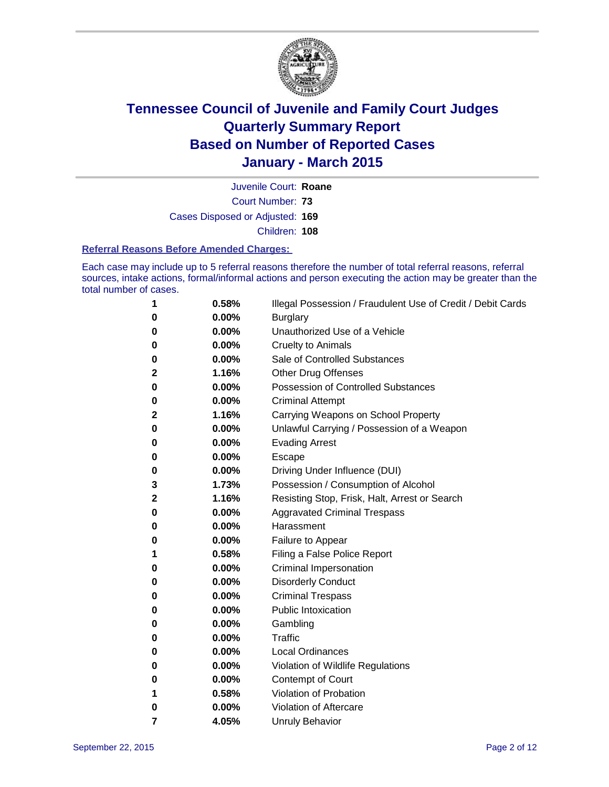

Court Number: **73** Juvenile Court: **Roane** Cases Disposed or Adjusted: **169** Children: **108**

#### **Referral Reasons Before Amended Charges:**

Each case may include up to 5 referral reasons therefore the number of total referral reasons, referral sources, intake actions, formal/informal actions and person executing the action may be greater than the total number of cases.

| 1           | 0.58%    | Illegal Possession / Fraudulent Use of Credit / Debit Cards |
|-------------|----------|-------------------------------------------------------------|
| 0           | $0.00\%$ | <b>Burglary</b>                                             |
| 0           | 0.00%    | Unauthorized Use of a Vehicle                               |
| 0           | 0.00%    | <b>Cruelty to Animals</b>                                   |
| 0           | 0.00%    | Sale of Controlled Substances                               |
| 2           | 1.16%    | <b>Other Drug Offenses</b>                                  |
| 0           | 0.00%    | Possession of Controlled Substances                         |
| 0           | 0.00%    | <b>Criminal Attempt</b>                                     |
| 2           | 1.16%    | Carrying Weapons on School Property                         |
| 0           | 0.00%    | Unlawful Carrying / Possession of a Weapon                  |
| 0           | 0.00%    | <b>Evading Arrest</b>                                       |
| 0           | 0.00%    | Escape                                                      |
| 0           | 0.00%    | Driving Under Influence (DUI)                               |
| 3           | 1.73%    | Possession / Consumption of Alcohol                         |
| $\mathbf 2$ | 1.16%    | Resisting Stop, Frisk, Halt, Arrest or Search               |
| 0           | 0.00%    | <b>Aggravated Criminal Trespass</b>                         |
| 0           | 0.00%    | Harassment                                                  |
| 0           | 0.00%    | Failure to Appear                                           |
| 1           | 0.58%    | Filing a False Police Report                                |
| 0           | $0.00\%$ | Criminal Impersonation                                      |
| 0           | 0.00%    | <b>Disorderly Conduct</b>                                   |
| 0           | 0.00%    | <b>Criminal Trespass</b>                                    |
| 0           | 0.00%    | <b>Public Intoxication</b>                                  |
| 0           | 0.00%    | Gambling                                                    |
| 0           | $0.00\%$ | Traffic                                                     |
| 0           | 0.00%    | <b>Local Ordinances</b>                                     |
| 0           | 0.00%    | Violation of Wildlife Regulations                           |
| 0           | 0.00%    | Contempt of Court                                           |
| 1           | 0.58%    | Violation of Probation                                      |
| 0           | 0.00%    | Violation of Aftercare                                      |
| 7           | 4.05%    | <b>Unruly Behavior</b>                                      |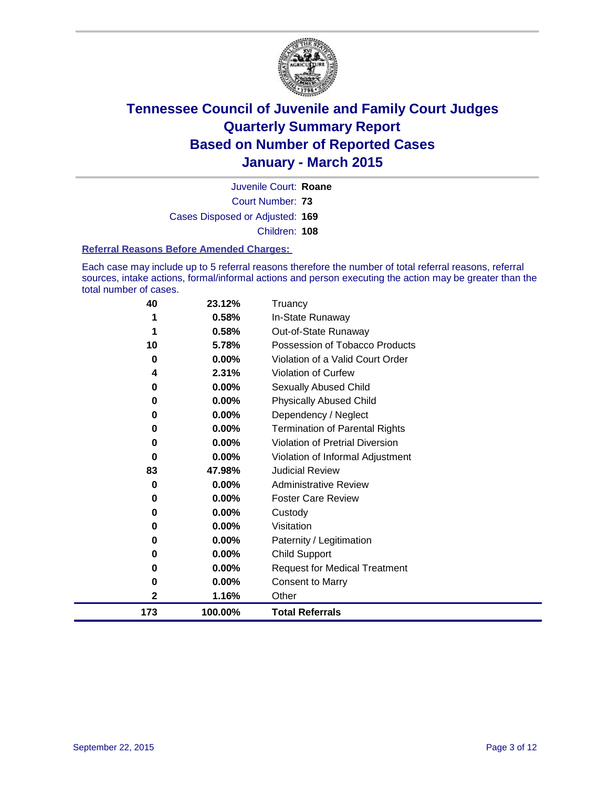

Court Number: **73** Juvenile Court: **Roane** Cases Disposed or Adjusted: **169** Children: **108**

#### **Referral Reasons Before Amended Charges:**

Each case may include up to 5 referral reasons therefore the number of total referral reasons, referral sources, intake actions, formal/informal actions and person executing the action may be greater than the total number of cases.

| 40  | 23.12%   | Truancy                                |
|-----|----------|----------------------------------------|
| 1   | 0.58%    | In-State Runaway                       |
| 1   | 0.58%    | Out-of-State Runaway                   |
| 10  | 5.78%    | Possession of Tobacco Products         |
| 0   | 0.00%    | Violation of a Valid Court Order       |
| 4   | 2.31%    | <b>Violation of Curfew</b>             |
| 0   | 0.00%    | Sexually Abused Child                  |
| 0   | 0.00%    | <b>Physically Abused Child</b>         |
| 0   | 0.00%    | Dependency / Neglect                   |
| 0   | 0.00%    | <b>Termination of Parental Rights</b>  |
| 0   | 0.00%    | <b>Violation of Pretrial Diversion</b> |
| 0   | 0.00%    | Violation of Informal Adjustment       |
| 83  | 47.98%   | <b>Judicial Review</b>                 |
| 0   | 0.00%    | <b>Administrative Review</b>           |
| 0   | 0.00%    | <b>Foster Care Review</b>              |
| 0   | 0.00%    | Custody                                |
| 0   | 0.00%    | Visitation                             |
| 0   | 0.00%    | Paternity / Legitimation               |
| 0   | $0.00\%$ | <b>Child Support</b>                   |
| 0   | 0.00%    | <b>Request for Medical Treatment</b>   |
| 0   | 0.00%    | <b>Consent to Marry</b>                |
| 2   | 1.16%    | Other                                  |
| 173 | 100.00%  | <b>Total Referrals</b>                 |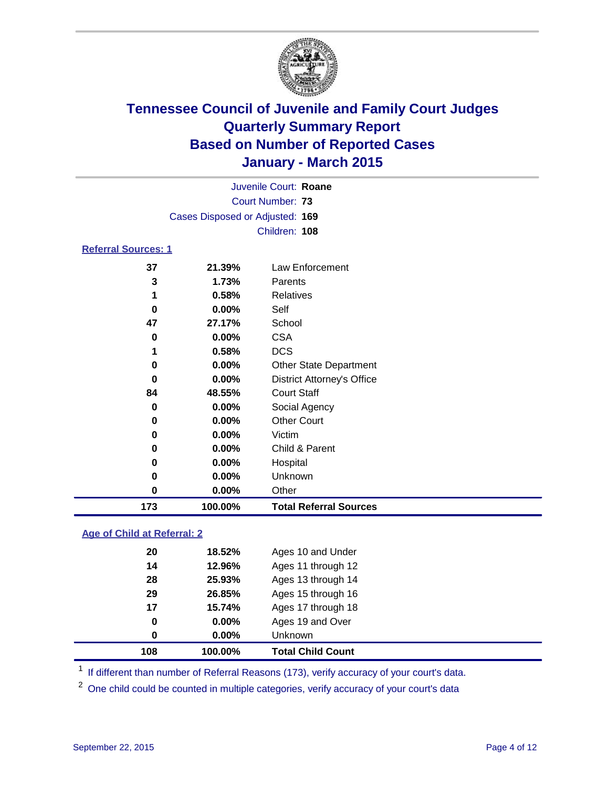

|                            |                                 |          | Juvenile Court: Roane |  |  |  |
|----------------------------|---------------------------------|----------|-----------------------|--|--|--|
|                            | Court Number: 73                |          |                       |  |  |  |
|                            | Cases Disposed or Adjusted: 169 |          |                       |  |  |  |
|                            |                                 |          | Children: 108         |  |  |  |
| <b>Referral Sources: 1</b> |                                 |          |                       |  |  |  |
|                            | 37                              | 21.39%   | Law Enforcement       |  |  |  |
|                            | 3                               | 1.73%    | Parents               |  |  |  |
|                            | 1                               | 0.58%    | Relatives             |  |  |  |
|                            | 0                               | $0.00\%$ | Self                  |  |  |  |
|                            | 47                              | 27.17%   | School                |  |  |  |
|                            | 0                               | $0.00\%$ | <b>CSA</b>            |  |  |  |
|                            | 1                               | 0.58%    | DCS                   |  |  |  |

| 37  | 21.39%   | Law Enforcement                   |
|-----|----------|-----------------------------------|
| 3   | 1.73%    | Parents                           |
|     | 0.58%    | Relatives                         |
| 0   | 0.00%    | Self                              |
| 47  | 27.17%   | School                            |
| 0   | 0.00%    | <b>CSA</b>                        |
|     | 0.58%    | <b>DCS</b>                        |
| 0   | 0.00%    | <b>Other State Department</b>     |
| 0   | 0.00%    | <b>District Attorney's Office</b> |
| 84  | 48.55%   | <b>Court Staff</b>                |
| 0   | $0.00\%$ | Social Agency                     |
| 0   | $0.00\%$ | <b>Other Court</b>                |
| 0   | $0.00\%$ | Victim                            |
| 0   | $0.00\%$ | Child & Parent                    |
| 0   | $0.00\%$ | Hospital                          |
| 0   | 0.00%    | Unknown                           |
| 0   | $0.00\%$ | Other                             |
| 173 | 100.00%  | <b>Total Referral Sources</b>     |

### **Age of Child at Referral: 2**

| 0  | $0.00\%$ | Unknown            |
|----|----------|--------------------|
| 0  | $0.00\%$ | Ages 19 and Over   |
| 17 | 15.74%   | Ages 17 through 18 |
| 29 | 26.85%   | Ages 15 through 16 |
| 28 | 25.93%   | Ages 13 through 14 |
| 14 | 12.96%   | Ages 11 through 12 |
| 20 | 18.52%   | Ages 10 and Under  |
|    |          |                    |

<sup>1</sup> If different than number of Referral Reasons (173), verify accuracy of your court's data.

One child could be counted in multiple categories, verify accuracy of your court's data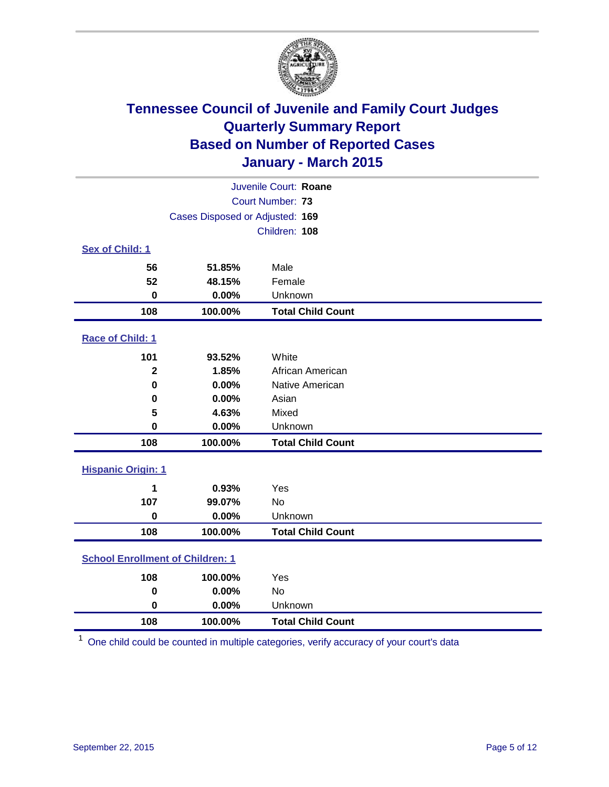

|                                         | Juvenile Court: Roane           |                          |  |  |  |
|-----------------------------------------|---------------------------------|--------------------------|--|--|--|
|                                         |                                 | Court Number: 73         |  |  |  |
|                                         | Cases Disposed or Adjusted: 169 |                          |  |  |  |
|                                         |                                 | Children: 108            |  |  |  |
| <b>Sex of Child: 1</b>                  |                                 |                          |  |  |  |
| 56                                      | 51.85%                          | Male                     |  |  |  |
| 52                                      | 48.15%                          | Female                   |  |  |  |
| $\bf{0}$                                | 0.00%                           | Unknown                  |  |  |  |
| 108                                     | 100.00%                         | <b>Total Child Count</b> |  |  |  |
| Race of Child: 1                        |                                 |                          |  |  |  |
| 101                                     | 93.52%                          | White                    |  |  |  |
| $\mathbf 2$                             | 1.85%                           | African American         |  |  |  |
| $\bf{0}$                                | 0.00%                           | Native American          |  |  |  |
| 0                                       | 0.00%                           | Asian                    |  |  |  |
| 5                                       | 4.63%                           | Mixed                    |  |  |  |
| $\mathbf 0$                             | 0.00%                           | Unknown                  |  |  |  |
| 108                                     | 100.00%                         | <b>Total Child Count</b> |  |  |  |
| <b>Hispanic Origin: 1</b>               |                                 |                          |  |  |  |
| 1                                       | 0.93%                           | Yes                      |  |  |  |
| 107                                     | 99.07%                          | No                       |  |  |  |
| $\bf{0}$                                | 0.00%                           | Unknown                  |  |  |  |
| 108                                     | 100.00%                         | <b>Total Child Count</b> |  |  |  |
| <b>School Enrollment of Children: 1</b> |                                 |                          |  |  |  |
| 108                                     | 100.00%                         | Yes                      |  |  |  |
| $\bf{0}$                                | 0.00%                           | No                       |  |  |  |
| $\mathbf 0$                             | 0.00%                           | Unknown                  |  |  |  |
| 108                                     | 100.00%                         | <b>Total Child Count</b> |  |  |  |

One child could be counted in multiple categories, verify accuracy of your court's data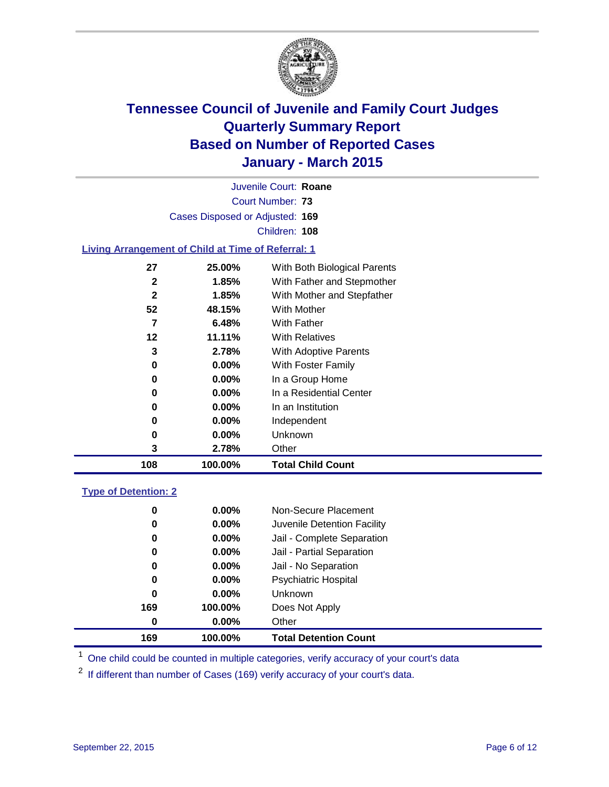

Court Number: **73** Juvenile Court: **Roane** Cases Disposed or Adjusted: **169** Children: **108**

#### **Living Arrangement of Child at Time of Referral: 1**

| 3<br>2.78%<br>0.00%<br>0<br>$0.00\%$<br>0<br>0<br>$0.00\%$ | With Adoptive Parents<br>With Foster Family<br>In a Group Home<br>In a Residential Center    |
|------------------------------------------------------------|----------------------------------------------------------------------------------------------|
|                                                            |                                                                                              |
|                                                            | <b>With Relatives</b>                                                                        |
|                                                            | With Father                                                                                  |
|                                                            | With Mother                                                                                  |
|                                                            | With Father and Stepmother<br>With Mother and Stepfather                                     |
| 27<br>25.00%                                               | With Both Biological Parents                                                                 |
|                                                            | $\mathbf{2}$<br>1.85%<br>$\mathbf{2}$<br>1.85%<br>52<br>48.15%<br>7<br>6.48%<br>12<br>11.11% |

#### **Type of Detention: 2**

| 0   | $0.00\%$ | Non-Secure Placement         |
|-----|----------|------------------------------|
| 0   | $0.00\%$ | Juvenile Detention Facility  |
| 0   | $0.00\%$ | Jail - Complete Separation   |
| 0   | $0.00\%$ | Jail - Partial Separation    |
| 0   | $0.00\%$ | Jail - No Separation         |
| 0   | $0.00\%$ | <b>Psychiatric Hospital</b>  |
| 0   | $0.00\%$ | <b>Unknown</b>               |
| 169 | 100.00%  | Does Not Apply               |
| 0   | $0.00\%$ | Other                        |
| 169 | 100.00%  | <b>Total Detention Count</b> |

<sup>1</sup> One child could be counted in multiple categories, verify accuracy of your court's data

If different than number of Cases (169) verify accuracy of your court's data.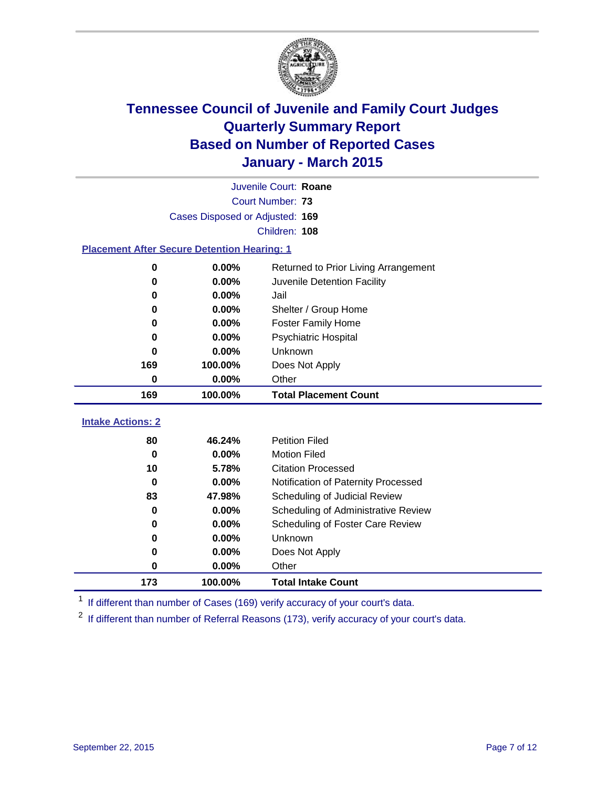

|                                                    | Juvenile Court: Roane           |                                      |  |  |  |
|----------------------------------------------------|---------------------------------|--------------------------------------|--|--|--|
|                                                    |                                 | Court Number: 73                     |  |  |  |
|                                                    | Cases Disposed or Adjusted: 169 |                                      |  |  |  |
| Children: 108                                      |                                 |                                      |  |  |  |
| <b>Placement After Secure Detention Hearing: 1</b> |                                 |                                      |  |  |  |
| 0                                                  | 0.00%                           | Returned to Prior Living Arrangement |  |  |  |
| O                                                  | 0.00%                           | Juvenile Detention Facility          |  |  |  |
| 0                                                  | 0.00%                           | Jail                                 |  |  |  |
| 0                                                  | 0.00%                           | Shelter / Group Home                 |  |  |  |
| 0                                                  | 0.00%                           | <b>Foster Family Home</b>            |  |  |  |
| 0                                                  | 0.00%                           | <b>Psychiatric Hospital</b>          |  |  |  |
| U                                                  | 0.00%                           | Unknown                              |  |  |  |
| 169                                                | 100.00%                         | Does Not Apply                       |  |  |  |
| 0                                                  | 0.00%                           | Other                                |  |  |  |
| 169                                                | 100.00%                         | <b>Total Placement Count</b>         |  |  |  |
| <b>Intake Actions: 2</b>                           |                                 |                                      |  |  |  |
| 80                                                 | 46.24%                          | <b>Petition Filed</b>                |  |  |  |
| $\bf{0}$                                           | 0.00%                           | <b>Motion Filed</b>                  |  |  |  |
| 10                                                 | 5.78%                           | <b>Citation Processed</b>            |  |  |  |
| $\bf{0}$                                           | 0.00%                           | Notification of Paternity Processed  |  |  |  |
| 83                                                 | 47.98%                          | Scheduling of Judicial Review        |  |  |  |
| 0                                                  | 0.00%                           | Scheduling of Administrative Review  |  |  |  |
| 0                                                  | 0.00%                           | Scheduling of Foster Care Review     |  |  |  |
| 0                                                  | 0.00%                           | <b>Unknown</b>                       |  |  |  |
|                                                    |                                 |                                      |  |  |  |
| 0                                                  | 0.00%                           | Does Not Apply                       |  |  |  |

<sup>1</sup> If different than number of Cases (169) verify accuracy of your court's data.

**100.00% Total Intake Count**

<sup>2</sup> If different than number of Referral Reasons (173), verify accuracy of your court's data.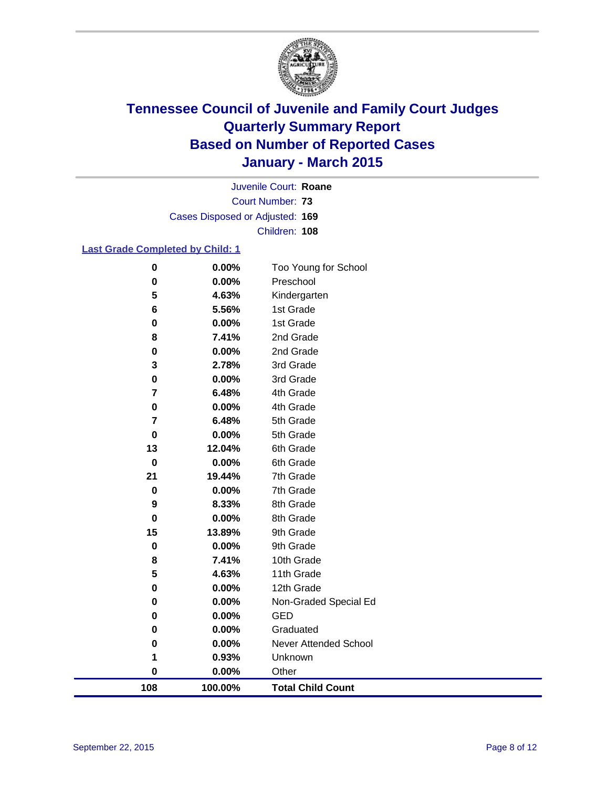

Court Number: **73** Juvenile Court: **Roane** Cases Disposed or Adjusted: **169** Children: **108**

#### **Last Grade Completed by Child: 1**

| $\pmb{0}$ | 0.00%    | Too Young for School         |
|-----------|----------|------------------------------|
| 0         | 0.00%    | Preschool                    |
| 5         | 4.63%    | Kindergarten                 |
| 6         | 5.56%    | 1st Grade                    |
| 0         | 0.00%    | 1st Grade                    |
| 8         | 7.41%    | 2nd Grade                    |
| 0         | 0.00%    | 2nd Grade                    |
| 3         | 2.78%    | 3rd Grade                    |
| $\pmb{0}$ | 0.00%    | 3rd Grade                    |
| 7         | 6.48%    | 4th Grade                    |
| 0         | 0.00%    | 4th Grade                    |
| 7         | 6.48%    | 5th Grade                    |
| 0         | 0.00%    | 5th Grade                    |
| 13        | 12.04%   | 6th Grade                    |
| $\bf{0}$  | 0.00%    | 6th Grade                    |
| 21        | 19.44%   | 7th Grade                    |
| $\pmb{0}$ | 0.00%    | 7th Grade                    |
| 9         | 8.33%    | 8th Grade                    |
| 0         | 0.00%    | 8th Grade                    |
| 15        | 13.89%   | 9th Grade                    |
| 0         | 0.00%    | 9th Grade                    |
| 8         | 7.41%    | 10th Grade                   |
| 5         | 4.63%    | 11th Grade                   |
| $\pmb{0}$ | 0.00%    | 12th Grade                   |
| 0         | 0.00%    | Non-Graded Special Ed        |
| 0         | 0.00%    | GED                          |
| 0         | 0.00%    | Graduated                    |
| 0         | 0.00%    | <b>Never Attended School</b> |
| 1         | 0.93%    | Unknown                      |
| 0         | $0.00\%$ | Other                        |
| 108       | 100.00%  | <b>Total Child Count</b>     |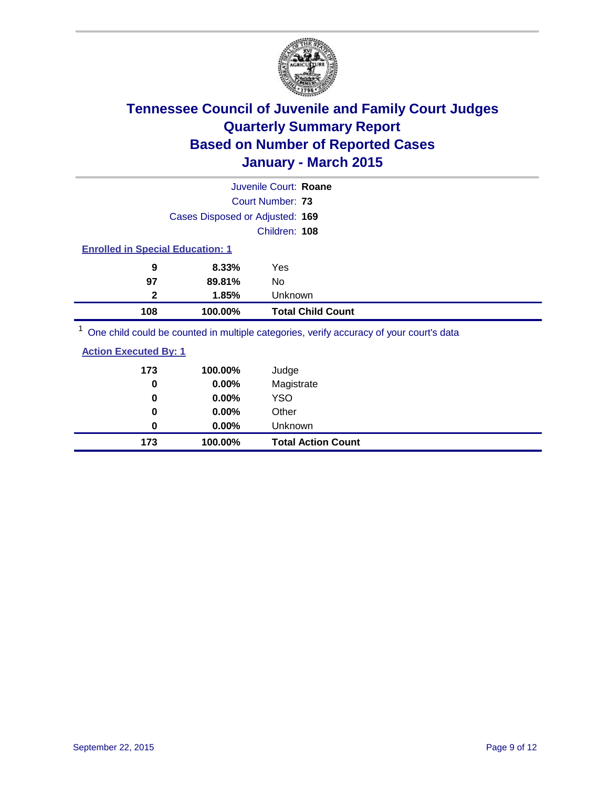

|                                         |         | One child could be counted in multiple categories, verify accuracy of your court's data |  |  |
|-----------------------------------------|---------|-----------------------------------------------------------------------------------------|--|--|
| 108                                     | 100.00% | <b>Total Child Count</b>                                                                |  |  |
| $\mathbf{2}$                            | 1.85%   | Unknown                                                                                 |  |  |
| 97                                      | 89.81%  | No                                                                                      |  |  |
| 9                                       | 8.33%   | Yes                                                                                     |  |  |
| <b>Enrolled in Special Education: 1</b> |         |                                                                                         |  |  |
|                                         |         | Children: 108                                                                           |  |  |
| Cases Disposed or Adjusted: 169         |         |                                                                                         |  |  |
|                                         |         | Court Number: 73                                                                        |  |  |
|                                         |         | Juvenile Court: Roane                                                                   |  |  |

<sup>1</sup> One child could be counted in multiple categories, verify accuracy of your court's data

| 173 | 100.00%  | Judge                     |
|-----|----------|---------------------------|
| 0   | 0.00%    | Magistrate                |
| 0   | 0.00%    | <b>YSO</b>                |
| 0   | 0.00%    | Other                     |
| 0   | $0.00\%$ | Unknown                   |
| 173 | 100.00%  | <b>Total Action Count</b> |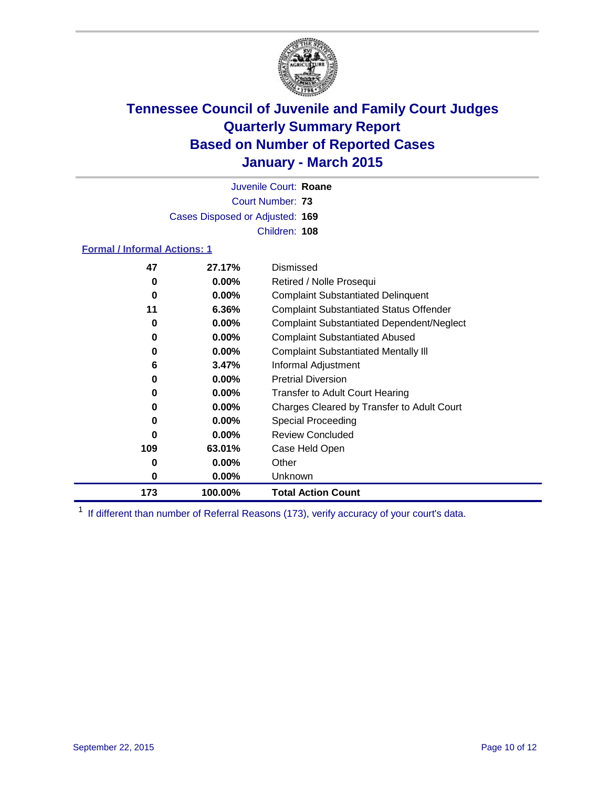

Court Number: **73** Juvenile Court: **Roane** Cases Disposed or Adjusted: **169** Children: **108**

#### **Formal / Informal Actions: 1**

| 47  | 27.17%   | Dismissed                                        |
|-----|----------|--------------------------------------------------|
| 0   | $0.00\%$ | Retired / Nolle Prosequi                         |
| 0   | $0.00\%$ | <b>Complaint Substantiated Delinquent</b>        |
| 11  | 6.36%    | <b>Complaint Substantiated Status Offender</b>   |
| 0   | $0.00\%$ | <b>Complaint Substantiated Dependent/Neglect</b> |
| 0   | $0.00\%$ | <b>Complaint Substantiated Abused</b>            |
| 0   | $0.00\%$ | <b>Complaint Substantiated Mentally III</b>      |
| 6   | 3.47%    | Informal Adjustment                              |
| 0   | $0.00\%$ | <b>Pretrial Diversion</b>                        |
| 0   | $0.00\%$ | <b>Transfer to Adult Court Hearing</b>           |
| 0   | $0.00\%$ | Charges Cleared by Transfer to Adult Court       |
| 0   | $0.00\%$ | Special Proceeding                               |
| ŋ   | $0.00\%$ | <b>Review Concluded</b>                          |
| 109 | 63.01%   | Case Held Open                                   |
| 0   | $0.00\%$ | Other                                            |
| 0   | $0.00\%$ | <b>Unknown</b>                                   |
| 173 | 100.00%  | <b>Total Action Count</b>                        |

<sup>1</sup> If different than number of Referral Reasons (173), verify accuracy of your court's data.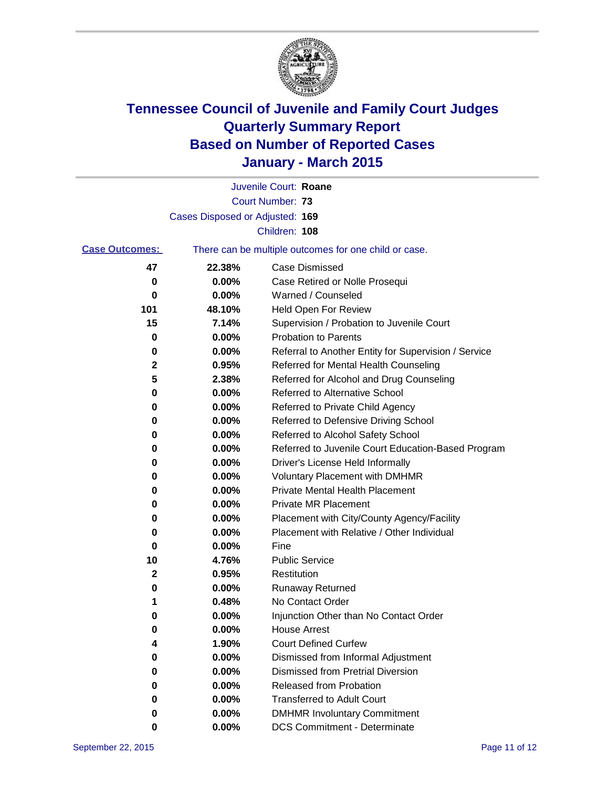

|                       |                                 | Juvenile Court: Roane                                 |
|-----------------------|---------------------------------|-------------------------------------------------------|
|                       |                                 | Court Number: 73                                      |
|                       | Cases Disposed or Adjusted: 169 |                                                       |
|                       |                                 | Children: 108                                         |
| <b>Case Outcomes:</b> |                                 | There can be multiple outcomes for one child or case. |
| 47                    | 22.38%                          | Case Dismissed                                        |
| 0                     | 0.00%                           | Case Retired or Nolle Prosequi                        |
| 0                     | 0.00%                           | Warned / Counseled                                    |
| 101                   | 48.10%                          | Held Open For Review                                  |
| 15                    | 7.14%                           | Supervision / Probation to Juvenile Court             |
| 0                     | 0.00%                           | <b>Probation to Parents</b>                           |
| 0                     | 0.00%                           | Referral to Another Entity for Supervision / Service  |
| 2                     | 0.95%                           | Referred for Mental Health Counseling                 |
| 5                     | 2.38%                           | Referred for Alcohol and Drug Counseling              |
| 0                     | 0.00%                           | Referred to Alternative School                        |
| 0                     | 0.00%                           | Referred to Private Child Agency                      |
| 0                     | 0.00%                           | Referred to Defensive Driving School                  |
| 0                     | 0.00%                           | Referred to Alcohol Safety School                     |
| 0                     | 0.00%                           | Referred to Juvenile Court Education-Based Program    |
| 0                     | 0.00%                           | Driver's License Held Informally                      |
| 0                     | 0.00%                           | <b>Voluntary Placement with DMHMR</b>                 |
| 0                     | 0.00%                           | <b>Private Mental Health Placement</b>                |
| 0                     | 0.00%                           | <b>Private MR Placement</b>                           |
| 0                     | 0.00%                           | Placement with City/County Agency/Facility            |
| 0                     | 0.00%                           | Placement with Relative / Other Individual            |
| 0                     | 0.00%                           | Fine                                                  |
| 10                    | 4.76%                           | <b>Public Service</b>                                 |
| 2                     | 0.95%                           | Restitution                                           |
| 0                     | 0.00%                           | <b>Runaway Returned</b>                               |
| 1                     | 0.48%                           | No Contact Order                                      |
| 0                     | 0.00%                           | Injunction Other than No Contact Order                |
| U                     | 0.00%                           | <b>House Arrest</b>                                   |
| 4                     | 1.90%                           | <b>Court Defined Curfew</b>                           |
| 0                     | 0.00%                           | Dismissed from Informal Adjustment                    |
| 0                     | 0.00%                           | <b>Dismissed from Pretrial Diversion</b>              |
| 0                     | 0.00%                           | Released from Probation                               |
| 0                     | 0.00%                           | <b>Transferred to Adult Court</b>                     |
| 0                     | 0.00%                           | <b>DMHMR Involuntary Commitment</b>                   |
| 0                     | $0.00\%$                        | <b>DCS Commitment - Determinate</b>                   |